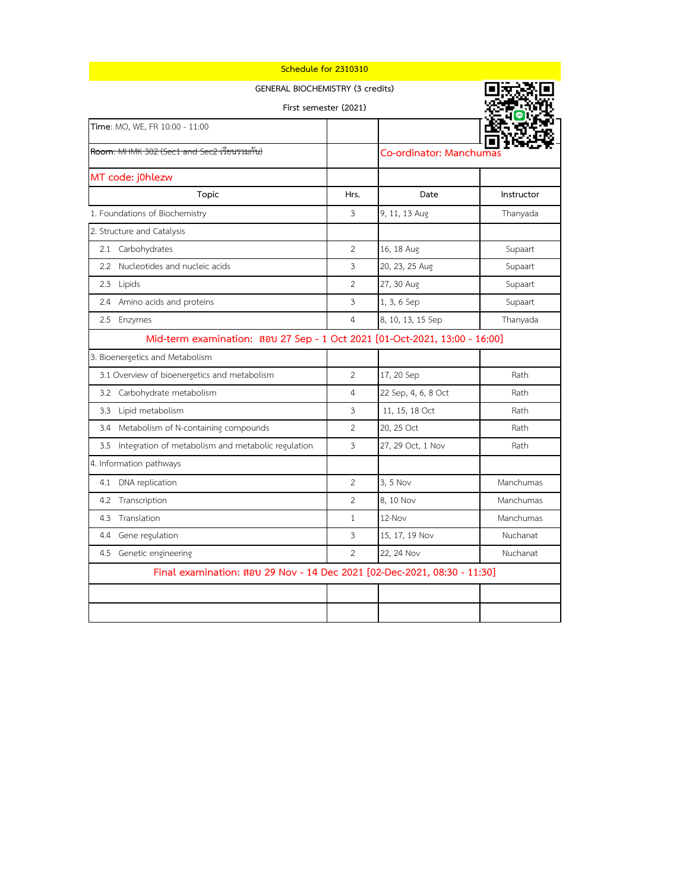| Schedule for 2310310                                                       |                       |                         |            |  |  |  |  |  |  |  |  |  |
|----------------------------------------------------------------------------|-----------------------|-------------------------|------------|--|--|--|--|--|--|--|--|--|
| <b>GENERAL BIOCHEMISTRY (3 credits)</b>                                    |                       |                         |            |  |  |  |  |  |  |  |  |  |
|                                                                            | First semester (2021) |                         |            |  |  |  |  |  |  |  |  |  |
| Time: MO, WE, FR 10:00 - 11:00                                             |                       |                         |            |  |  |  |  |  |  |  |  |  |
| Room: MHMK 302 (Sec1 and Sec2 เรียนรวมกัน)                                 |                       | Co-ordinator: Manchumas |            |  |  |  |  |  |  |  |  |  |
|                                                                            |                       |                         |            |  |  |  |  |  |  |  |  |  |
| MT code: j0hlezw                                                           |                       |                         |            |  |  |  |  |  |  |  |  |  |
| Topic                                                                      | Hrs.                  | Date                    | Instructor |  |  |  |  |  |  |  |  |  |
| 1. Foundations of Biochemistry                                             | 3                     | 9, 11, 13 Aug           | Thanyada   |  |  |  |  |  |  |  |  |  |
| 2. Structure and Catalysis                                                 |                       |                         |            |  |  |  |  |  |  |  |  |  |
| 2.1 Carbohydrates                                                          | $\overline{2}$        | 16, 18 Aug              | Supaart    |  |  |  |  |  |  |  |  |  |
| 2.2 Nucleotides and nucleic acids                                          | 3                     | 20, 23, 25 Aug          | Supaart    |  |  |  |  |  |  |  |  |  |
| 2.3 Lipids                                                                 | $\overline{2}$        | 27, 30 Aug              | Supaart    |  |  |  |  |  |  |  |  |  |
| 2.4 Amino acids and proteins                                               | $\mathfrak{Z}$        | 1, 3, 6 Sep             | Supaart    |  |  |  |  |  |  |  |  |  |
| 2.5 Enzymes                                                                | $\overline{a}$        | 8, 10, 13, 15 Sep       | Thanyada   |  |  |  |  |  |  |  |  |  |
| Mid-term examination: สอบ 27 Sep - 1 Oct 2021 [01-Oct-2021, 13:00 - 16:00] |                       |                         |            |  |  |  |  |  |  |  |  |  |
| 3. Bioenergetics and Metabolism                                            |                       |                         |            |  |  |  |  |  |  |  |  |  |
| 3.1 Overview of bioenergetics and metabolism                               | $\overline{2}$        | 17, 20 Sep              | Rath       |  |  |  |  |  |  |  |  |  |
| Carbohydrate metabolism<br>3.2                                             | 4                     | 22 Sep, 4, 6, 8 Oct     | Rath       |  |  |  |  |  |  |  |  |  |
| 3.3<br>Lipid metabolism                                                    | $\overline{3}$        | 11, 15, 18 Oct          | Rath       |  |  |  |  |  |  |  |  |  |
| 3.4<br>Metabolism of N-containing compounds                                | $\overline{2}$        | 20, 25 Oct              | Rath       |  |  |  |  |  |  |  |  |  |
| 3.5<br>Integration of metabolism and metabolic regulation                  | 3                     | 27, 29 Oct, 1 Nov       | Rath       |  |  |  |  |  |  |  |  |  |
| 4. Information pathways                                                    |                       |                         |            |  |  |  |  |  |  |  |  |  |
| 4.1<br>DNA replication                                                     | 2                     | 3, 5 Nov                | Manchumas  |  |  |  |  |  |  |  |  |  |
| Transcription<br>4.2                                                       | $\overline{2}$        | 8, 10 Nov               | Manchumas  |  |  |  |  |  |  |  |  |  |
| 4.3<br>Translation                                                         | $\mathbf{1}$          | $12-Nov$                | Manchumas  |  |  |  |  |  |  |  |  |  |
| 4.4 Gene regulation                                                        | 3                     | 15, 17, 19 Nov          | Nuchanat   |  |  |  |  |  |  |  |  |  |
| 4.5 Genetic engineering                                                    | $\mathfrak{D}$        | 22, 24 Nov              | Nuchanat   |  |  |  |  |  |  |  |  |  |
| Final examination: สอบ 29 Nov - 14 Dec 2021 [02-Dec-2021, 08:30 - 11:30]   |                       |                         |            |  |  |  |  |  |  |  |  |  |
|                                                                            |                       |                         |            |  |  |  |  |  |  |  |  |  |
|                                                                            |                       |                         |            |  |  |  |  |  |  |  |  |  |
|                                                                            |                       |                         |            |  |  |  |  |  |  |  |  |  |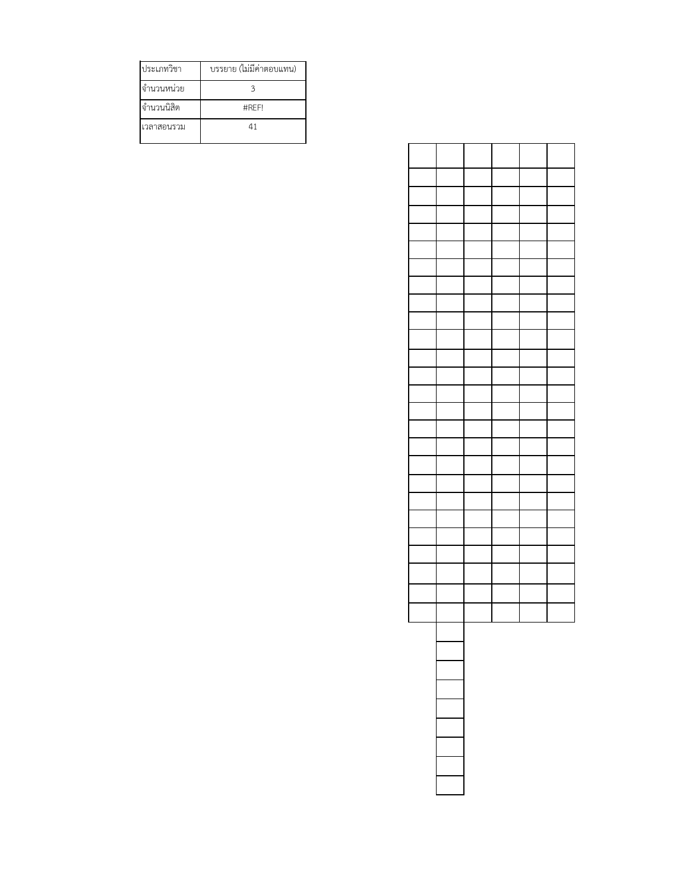| ประเภทวิชา | บรรยาย (ไม่มีค่าตอบแทน) |
|------------|-------------------------|
| จำนวนหน่วย |                         |
| จำนวนนิสิต | #RFFI                   |
| เวลาสอนรวม | 41                      |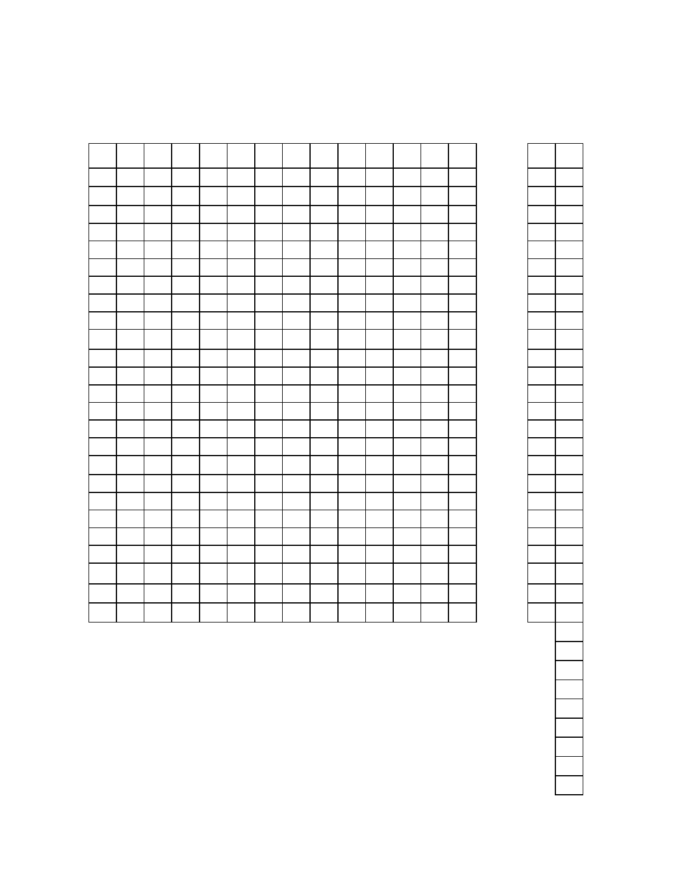